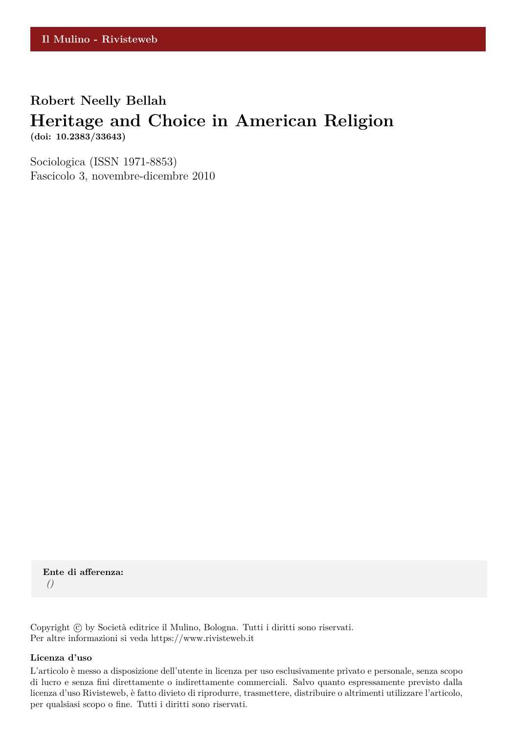### **Robert Neelly Bellah**

# **Heritage and Choice in American Religion**

**(doi: 10.2383/33643)**

Sociologica (ISSN 1971-8853) Fascicolo 3, novembre-dicembre 2010

**Ente di afferenza:** *()*

Copyright © by Società editrice il Mulino, Bologna. Tutti i diritti sono riservati. Per altre informazioni si veda https://www.rivisteweb.it

#### **Licenza d'uso**

L'articolo è messo a disposizione dell'utente in licenza per uso esclusivamente privato e personale, senza scopo di lucro e senza fini direttamente o indirettamente commerciali. Salvo quanto espressamente previsto dalla licenza d'uso Rivisteweb, è fatto divieto di riprodurre, trasmettere, distribuire o altrimenti utilizzare l'articolo, per qualsiasi scopo o fine. Tutti i diritti sono riservati.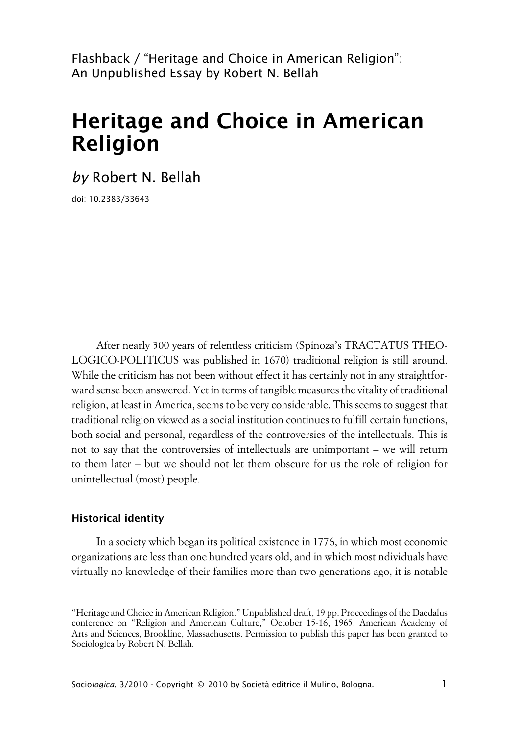Flashback / "Heritage and Choice in American Religion": An Unpublished Essay by Robert N. Bellah

## **Heritage and Choice in American Religion**

*by* Robert N. Bellah

doi: 10.2383/33643

After nearly 300 years of relentless criticism (Spinoza's TRACTATUS THEO-LOGICO-POLITICUS was published in 1670) traditional religion is still around. While the criticism has not been without effect it has certainly not in any straightforward sense been answered. Yet in terms of tangible measures the vitality of traditional religion, at least in America, seems to be very considerable. This seems to suggest that traditional religion viewed as a social institution continues to fulfill certain functions, both social and personal, regardless of the controversies of the intellectuals. This is not to say that the controversies of intellectuals are unimportant – we will return to them later – but we should not let them obscure for us the role of religion for unintellectual (most) people.

#### **xHistorical identity**

In a society which began its political existence in 1776, in which most economic organizations are less than one hundred years old, and in which most ndividuals have virtually no knowledge of their families more than two generations ago, it is notable

<sup>&</sup>quot;Heritage and Choice in American Religion." Unpublished draft, 19 pp. Proceedings of the Daedalus conference on "Religion and American Culture," October 15-16, 1965. American Academy of Arts and Sciences, Brookline, Massachusetts. Permission to publish this paper has been granted to Sociologica by Robert N. Bellah.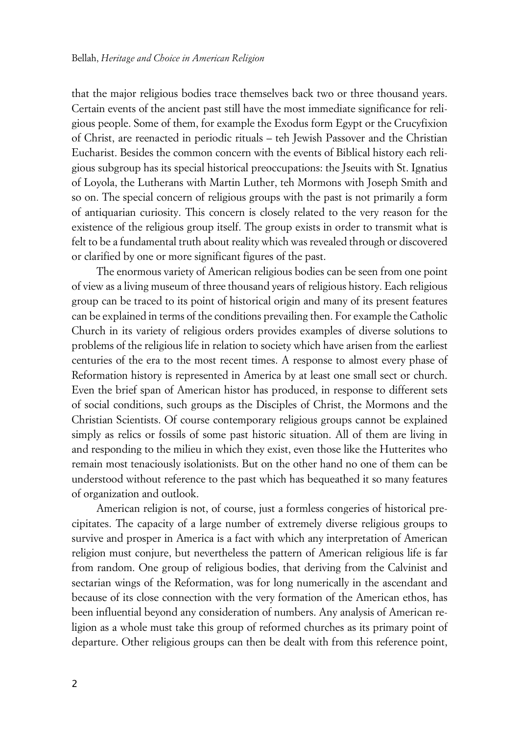that the major religious bodies trace themselves back two or three thousand years. Certain events of the ancient past still have the most immediate significance for religious people. Some of them, for example the Exodus form Egypt or the Crucyfixion of Christ, are reenacted in periodic rituals – teh Jewish Passover and the Christian Eucharist. Besides the common concern with the events of Biblical history each religious subgroup has its special historical preoccupations: the Jseuits with St. Ignatius of Loyola, the Lutherans with Martin Luther, teh Mormons with Joseph Smith and so on. The special concern of religious groups with the past is not primarily a form of antiquarian curiosity. This concern is closely related to the very reason for the existence of the religious group itself. The group exists in order to transmit what is felt to be a fundamental truth about reality which was revealed through or discovered or clarified by one or more significant figures of the past.

The enormous variety of American religious bodies can be seen from one point of view as a living museum of three thousand years of religious history. Each religious group can be traced to its point of historical origin and many of its present features can be explained in terms of the conditions prevailing then. For example the Catholic Church in its variety of religious orders provides examples of diverse solutions to problems of the religious life in relation to society which have arisen from the earliest centuries of the era to the most recent times. A response to almost every phase of Reformation history is represented in America by at least one small sect or church. Even the brief span of American histor has produced, in response to different sets of social conditions, such groups as the Disciples of Christ, the Mormons and the Christian Scientists. Of course contemporary religious groups cannot be explained simply as relics or fossils of some past historic situation. All of them are living in and responding to the milieu in which they exist, even those like the Hutterites who remain most tenaciously isolationists. But on the other hand no one of them can be understood without reference to the past which has bequeathed it so many features of organization and outlook.

American religion is not, of course, just a formless congeries of historical precipitates. The capacity of a large number of extremely diverse religious groups to survive and prosper in America is a fact with which any interpretation of American religion must conjure, but nevertheless the pattern of American religious life is far from random. One group of religious bodies, that deriving from the Calvinist and sectarian wings of the Reformation, was for long numerically in the ascendant and because of its close connection with the very formation of the American ethos, has been influential beyond any consideration of numbers. Any analysis of American religion as a whole must take this group of reformed churches as its primary point of departure. Other religious groups can then be dealt with from this reference point,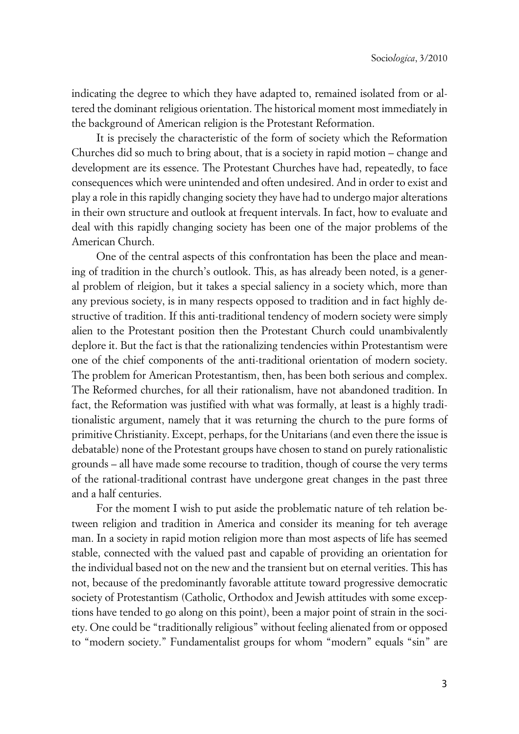indicating the degree to which they have adapted to, remained isolated from or altered the dominant religious orientation. The historical moment most immediately in the background of American religion is the Protestant Reformation.

It is precisely the characteristic of the form of society which the Reformation Churches did so much to bring about, that is a society in rapid motion – change and development are its essence. The Protestant Churches have had, repeatedly, to face consequences which were unintended and often undesired. And in order to exist and play a role in this rapidly changing society they have had to undergo major alterations in their own structure and outlook at frequent intervals. In fact, how to evaluate and deal with this rapidly changing society has been one of the major problems of the American Church.

One of the central aspects of this confrontation has been the place and meaning of tradition in the church's outlook. This, as has already been noted, is a general problem of rleigion, but it takes a special saliency in a society which, more than any previous society, is in many respects opposed to tradition and in fact highly destructive of tradition. If this anti-traditional tendency of modern society were simply alien to the Protestant position then the Protestant Church could unambivalently deplore it. But the fact is that the rationalizing tendencies within Protestantism were one of the chief components of the anti-traditional orientation of modern society. The problem for American Protestantism, then, has been both serious and complex. The Reformed churches, for all their rationalism, have not abandoned tradition. In fact, the Reformation was justified with what was formally, at least is a highly traditionalistic argument, namely that it was returning the church to the pure forms of primitive Christianity. Except, perhaps, for the Unitarians (and even there the issue is debatable) none of the Protestant groups have chosen to stand on purely rationalistic grounds – all have made some recourse to tradition, though of course the very terms of the rational-traditional contrast have undergone great changes in the past three and a half centuries.

For the moment I wish to put aside the problematic nature of teh relation between religion and tradition in America and consider its meaning for teh average man. In a society in rapid motion religion more than most aspects of life has seemed stable, connected with the valued past and capable of providing an orientation for the individual based not on the new and the transient but on eternal verities. This has not, because of the predominantly favorable attitute toward progressive democratic society of Protestantism (Catholic, Orthodox and Jewish attitudes with some exceptions have tended to go along on this point), been a major point of strain in the society. One could be "traditionally religious" without feeling alienated from or opposed to "modern society." Fundamentalist groups for whom "modern" equals "sin" are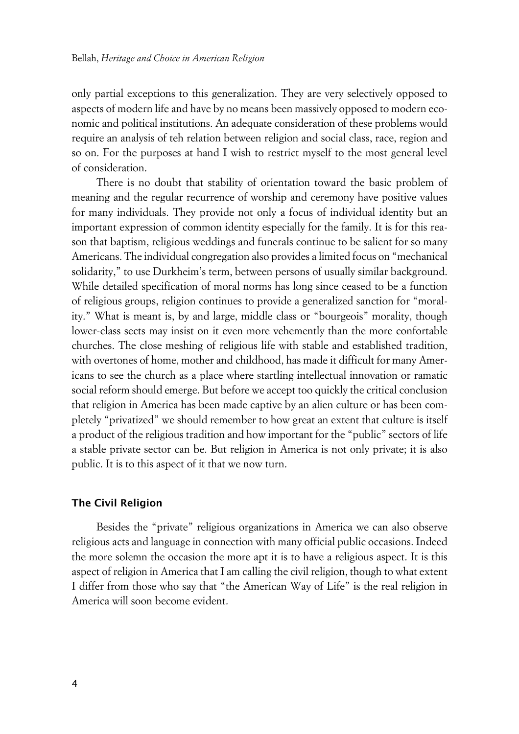only partial exceptions to this generalization. They are very selectively opposed to aspects of modern life and have by no means been massively opposed to modern economic and political institutions. An adequate consideration of these problems would require an analysis of teh relation between religion and social class, race, region and so on. For the purposes at hand I wish to restrict myself to the most general level of consideration.

There is no doubt that stability of orientation toward the basic problem of meaning and the regular recurrence of worship and ceremony have positive values for many individuals. They provide not only a focus of individual identity but an important expression of common identity especially for the family. It is for this reason that baptism, religious weddings and funerals continue to be salient for so many Americans. The individual congregation also provides a limited focus on "mechanical solidarity," to use Durkheim's term, between persons of usually similar background. While detailed specification of moral norms has long since ceased to be a function of religious groups, religion continues to provide a generalized sanction for "morality." What is meant is, by and large, middle class or "bourgeois" morality, though lower-class sects may insist on it even more vehemently than the more confortable churches. The close meshing of religious life with stable and established tradition, with overtones of home, mother and childhood, has made it difficult for many Americans to see the church as a place where startling intellectual innovation or ramatic social reform should emerge. But before we accept too quickly the critical conclusion that religion in America has been made captive by an alien culture or has been completely "privatized" we should remember to how great an extent that culture is itself a product of the religious tradition and how important for the "public" sectors of life a stable private sector can be. But religion in America is not only private; it is also public. It is to this aspect of it that we now turn.

#### **xThe Civil Religion**

Besides the "private" religious organizations in America we can also observe religious acts and language in connection with many official public occasions. Indeed the more solemn the occasion the more apt it is to have a religious aspect. It is this aspect of religion in America that I am calling the civil religion, though to what extent I differ from those who say that "the American Way of Life" is the real religion in America will soon become evident.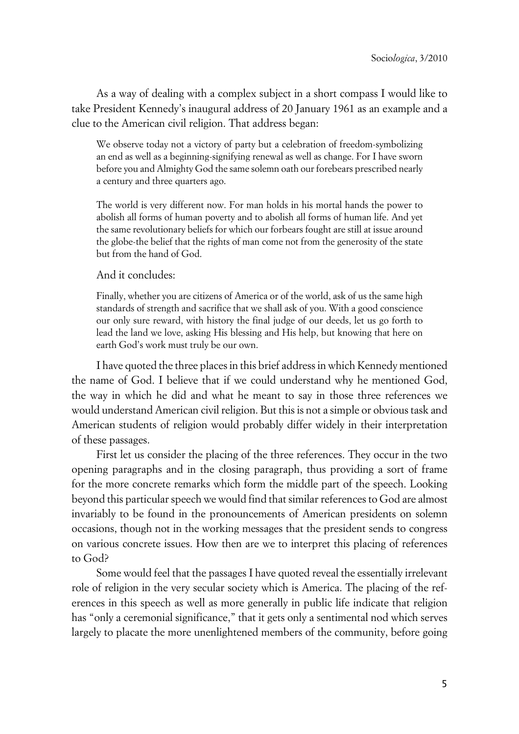As a way of dealing with a complex subject in a short compass I would like to take President Kennedy's inaugural address of 20 January 1961 as an example and a clue to the American civil religion. That address began:

We observe today not a victory of party but a celebration of freedom-symbolizing an end as well as a beginning-signifying renewal as well as change. For I have sworn before you and Almighty God the same solemn oath our forebears prescribed nearly a century and three quarters ago.

The world is very different now. For man holds in his mortal hands the power to abolish all forms of human poverty and to abolish all forms of human life. And yet the same revolutionary beliefs for which our forbears fought are still at issue around the globe-the belief that the rights of man come not from the generosity of the state but from the hand of God.

And it concludes:

Finally, whether you are citizens of America or of the world, ask of us the same high standards of strength and sacrifice that we shall ask of you. With a good conscience our only sure reward, with history the final judge of our deeds, let us go forth to lead the land we love, asking His blessing and His help, but knowing that here on earth God's work must truly be our own.

I have quoted the three places in this brief address in which Kennedy mentioned the name of God. I believe that if we could understand why he mentioned God, the way in which he did and what he meant to say in those three references we would understand American civil religion. But this is not a simple or obvious task and American students of religion would probably differ widely in their interpretation of these passages.

First let us consider the placing of the three references. They occur in the two opening paragraphs and in the closing paragraph, thus providing a sort of frame for the more concrete remarks which form the middle part of the speech. Looking beyond this particular speech we would find that similar references to God are almost invariably to be found in the pronouncements of American presidents on solemn occasions, though not in the working messages that the president sends to congress on various concrete issues. How then are we to interpret this placing of references to God?

Some would feel that the passages I have quoted reveal the essentially irrelevant role of religion in the very secular society which is America. The placing of the references in this speech as well as more generally in public life indicate that religion has "only a ceremonial significance," that it gets only a sentimental nod which serves largely to placate the more unenlightened members of the community, before going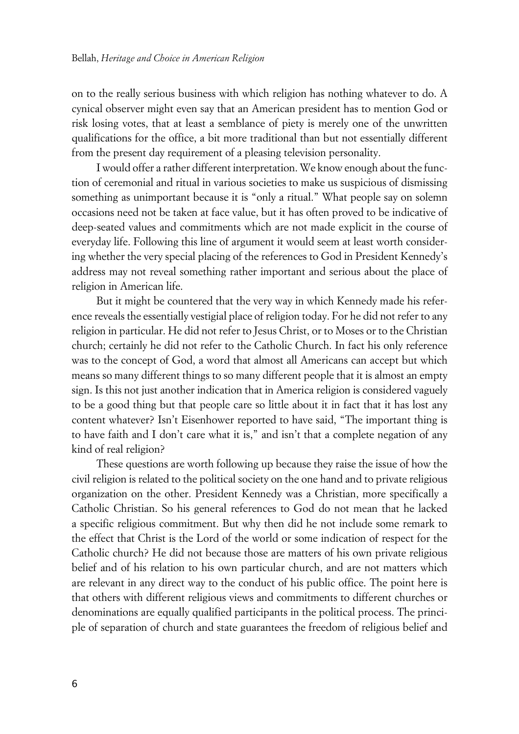on to the really serious business with which religion has nothing whatever to do. A cynical observer might even say that an American president has to mention God or risk losing votes, that at least a semblance of piety is merely one of the unwritten qualifications for the office, a bit more traditional than but not essentially different from the present day requirement of a pleasing television personality.

I would offer a rather different interpretation. We know enough about the function of ceremonial and ritual in various societies to make us suspicious of dismissing something as unimportant because it is "only a ritual." What people say on solemn occasions need not be taken at face value, but it has often proved to be indicative of deep-seated values and commitments which are not made explicit in the course of everyday life. Following this line of argument it would seem at least worth considering whether the very special placing of the references to God in President Kennedy's address may not reveal something rather important and serious about the place of religion in American life.

But it might be countered that the very way in which Kennedy made his reference reveals the essentially vestigial place of religion today. For he did not refer to any religion in particular. He did not refer to Jesus Christ, or to Moses or to the Christian church; certainly he did not refer to the Catholic Church. In fact his only reference was to the concept of God, a word that almost all Americans can accept but which means so many different things to so many different people that it is almost an empty sign. Is this not just another indication that in America religion is considered vaguely to be a good thing but that people care so little about it in fact that it has lost any content whatever? Isn't Eisenhower reported to have said, "The important thing is to have faith and I don't care what it is," and isn't that a complete negation of any kind of real religion?

These questions are worth following up because they raise the issue of how the civil religion is related to the political society on the one hand and to private religious organization on the other. President Kennedy was a Christian, more specifically a Catholic Christian. So his general references to God do not mean that he lacked a specific religious commitment. But why then did he not include some remark to the effect that Christ is the Lord of the world or some indication of respect for the Catholic church? He did not because those are matters of his own private religious belief and of his relation to his own particular church, and are not matters which are relevant in any direct way to the conduct of his public office. The point here is that others with different religious views and commitments to different churches or denominations are equally qualified participants in the political process. The principle of separation of church and state guarantees the freedom of religious belief and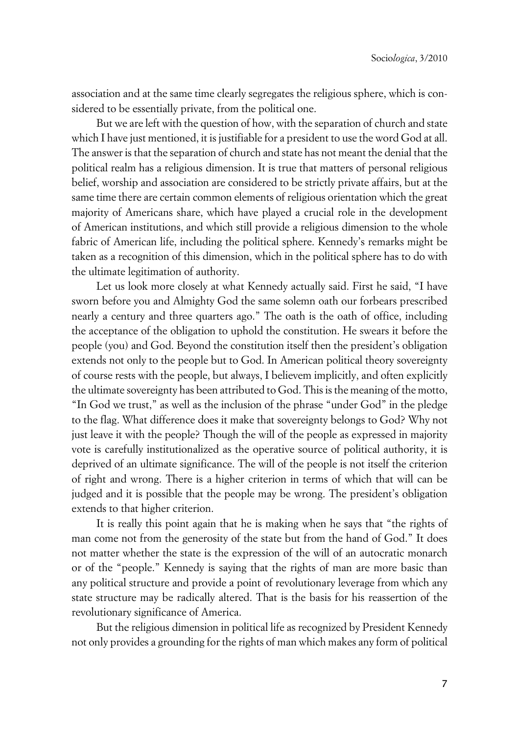association and at the same time clearly segregates the religious sphere, which is considered to be essentially private, from the political one.

But we are left with the question of how, with the separation of church and state which I have just mentioned, it is justifiable for a president to use the word God at all. The answer is that the separation of church and state has not meant the denial that the political realm has a religious dimension. It is true that matters of personal religious belief, worship and association are considered to be strictly private affairs, but at the same time there are certain common elements of religious orientation which the great majority of Americans share, which have played a crucial role in the development of American institutions, and which still provide a religious dimension to the whole fabric of American life, including the political sphere. Kennedy's remarks might be taken as a recognition of this dimension, which in the political sphere has to do with the ultimate legitimation of authority.

Let us look more closely at what Kennedy actually said. First he said, "I have sworn before you and Almighty God the same solemn oath our forbears prescribed nearly a century and three quarters ago." The oath is the oath of office, including the acceptance of the obligation to uphold the constitution. He swears it before the people (you) and God. Beyond the constitution itself then the president's obligation extends not only to the people but to God. In American political theory sovereignty of course rests with the people, but always, I believem implicitly, and often explicitly the ultimate sovereignty has been attributed to God. This is the meaning of the motto, "In God we trust," as well as the inclusion of the phrase "under God" in the pledge to the flag. What difference does it make that sovereignty belongs to God? Why not just leave it with the people? Though the will of the people as expressed in majority vote is carefully institutionalized as the operative source of political authority, it is deprived of an ultimate significance. The will of the people is not itself the criterion of right and wrong. There is a higher criterion in terms of which that will can be judged and it is possible that the people may be wrong. The president's obligation extends to that higher criterion.

It is really this point again that he is making when he says that "the rights of man come not from the generosity of the state but from the hand of God." It does not matter whether the state is the expression of the will of an autocratic monarch or of the "people." Kennedy is saying that the rights of man are more basic than any political structure and provide a point of revolutionary leverage from which any state structure may be radically altered. That is the basis for his reassertion of the revolutionary significance of America.

But the religious dimension in political life as recognized by President Kennedy not only provides a grounding for the rights of man which makes any form of political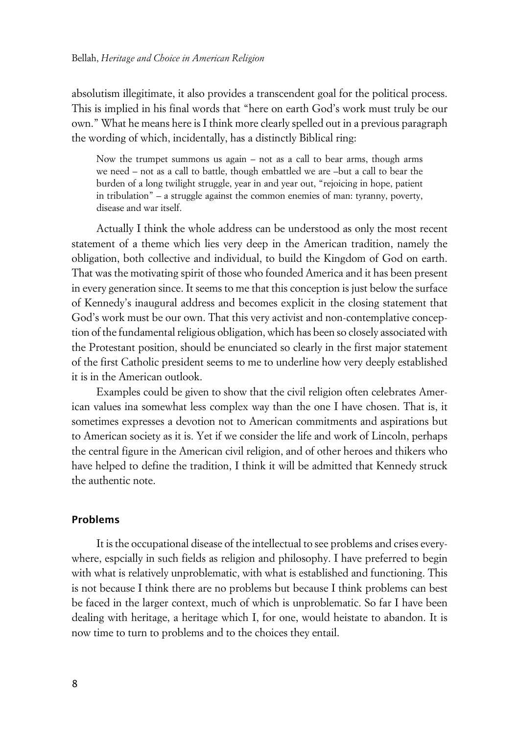absolutism illegitimate, it also provides a transcendent goal for the political process. This is implied in his final words that "here on earth God's work must truly be our own." What he means here is I think more clearly spelled out in a previous paragraph the wording of which, incidentally, has a distinctly Biblical ring:

Now the trumpet summons us again – not as a call to bear arms, though arms we need – not as a call to battle, though embattled we are –but a call to bear the burden of a long twilight struggle, year in and year out, "rejoicing in hope, patient in tribulation" – a struggle against the common enemies of man: tyranny, poverty, disease and war itself.

Actually I think the whole address can be understood as only the most recent statement of a theme which lies very deep in the American tradition, namely the obligation, both collective and individual, to build the Kingdom of God on earth. That was the motivating spirit of those who founded America and it has been present in every generation since. It seems to me that this conception is just below the surface of Kennedy's inaugural address and becomes explicit in the closing statement that God's work must be our own. That this very activist and non-contemplative conception of the fundamental religious obligation, which has been so closely associated with the Protestant position, should be enunciated so clearly in the first major statement of the first Catholic president seems to me to underline how very deeply established it is in the American outlook.

Examples could be given to show that the civil religion often celebrates American values ina somewhat less complex way than the one I have chosen. That is, it sometimes expresses a devotion not to American commitments and aspirations but to American society as it is. Yet if we consider the life and work of Lincoln, perhaps the central figure in the American civil religion, and of other heroes and thikers who have helped to define the tradition, I think it will be admitted that Kennedy struck the authentic note.

#### **xProblems**

It is the occupational disease of the intellectual to see problems and crises everywhere, espcially in such fields as religion and philosophy. I have preferred to begin with what is relatively unproblematic, with what is established and functioning. This is not because I think there are no problems but because I think problems can best be faced in the larger context, much of which is unproblematic. So far I have been dealing with heritage, a heritage which I, for one, would heistate to abandon. It is now time to turn to problems and to the choices they entail.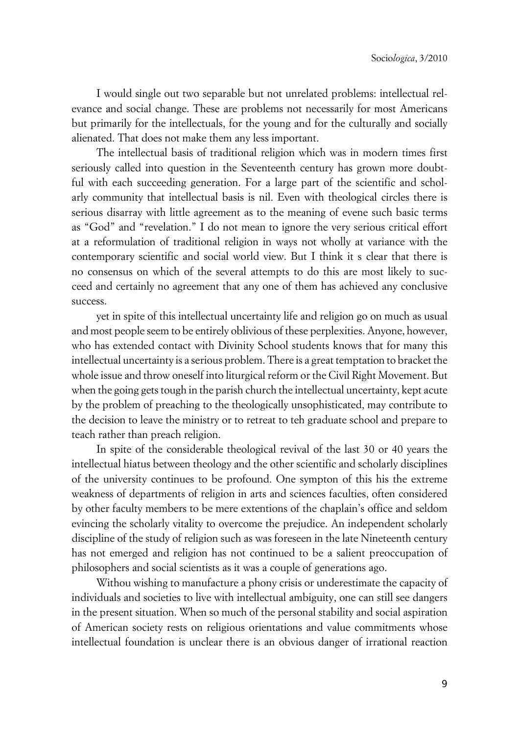I would single out two separable but not unrelated problems: intellectual relevance and social change. These are problems not necessarily for most Americans but primarily for the intellectuals, for the young and for the culturally and socially alienated. That does not make them any less important.

The intellectual basis of traditional religion which was in modern times first seriously called into question in the Seventeenth century has grown more doubtful with each succeeding generation. For a large part of the scientific and scholarly community that intellectual basis is nil. Even with theological circles there is serious disarray with little agreement as to the meaning of evene such basic terms as "God" and "revelation." I do not mean to ignore the very serious critical effort at a reformulation of traditional religion in ways not wholly at variance with the contemporary scientific and social world view. But I think it s clear that there is no consensus on which of the several attempts to do this are most likely to succeed and certainly no agreement that any one of them has achieved any conclusive success.

yet in spite of this intellectual uncertainty life and religion go on much as usual and most people seem to be entirely oblivious of these perplexities. Anyone, however, who has extended contact with Divinity School students knows that for many this intellectual uncertainty is a serious problem. There is a great temptation to bracket the whole issue and throw oneself into liturgical reform or the Civil Right Movement. But when the going gets tough in the parish church the intellectual uncertainty, kept acute by the problem of preaching to the theologically unsophisticated, may contribute to the decision to leave the ministry or to retreat to teh graduate school and prepare to teach rather than preach religion.

In spite of the considerable theological revival of the last 30 or 40 years the intellectual hiatus between theology and the other scientific and scholarly disciplines of the university continues to be profound. One sympton of this his the extreme weakness of departments of religion in arts and sciences faculties, often considered by other faculty members to be mere extentions of the chaplain's office and seldom evincing the scholarly vitality to overcome the prejudice. An independent scholarly discipline of the study of religion such as was foreseen in the late Nineteenth century has not emerged and religion has not continued to be a salient preoccupation of philosophers and social scientists as it was a couple of generations ago.

Withou wishing to manufacture a phony crisis or underestimate the capacity of individuals and societies to live with intellectual ambiguity, one can still see dangers in the present situation. When so much of the personal stability and social aspiration of American society rests on religious orientations and value commitments whose intellectual foundation is unclear there is an obvious danger of irrational reaction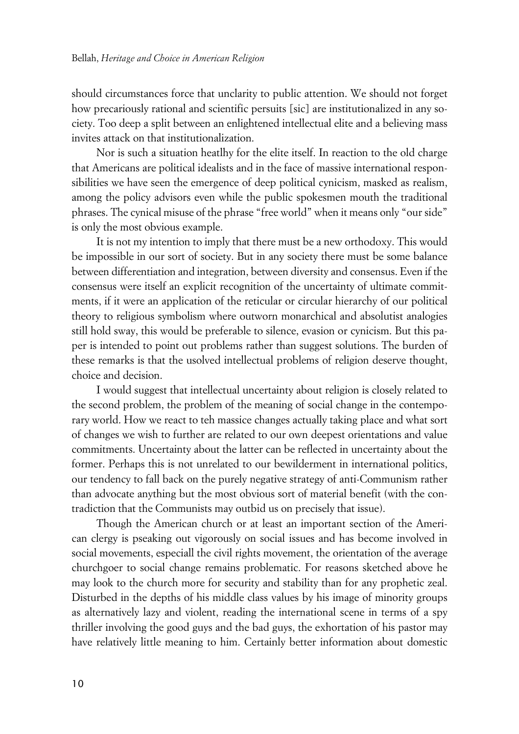should circumstances force that unclarity to public attention. We should not forget how precariously rational and scientific persuits [sic] are institutionalized in any society. Too deep a split between an enlightened intellectual elite and a believing mass invites attack on that institutionalization.

Nor is such a situation heatlhy for the elite itself. In reaction to the old charge that Americans are political idealists and in the face of massive international responsibilities we have seen the emergence of deep political cynicism, masked as realism, among the policy advisors even while the public spokesmen mouth the traditional phrases. The cynical misuse of the phrase "free world" when it means only "our side" is only the most obvious example.

It is not my intention to imply that there must be a new orthodoxy. This would be impossible in our sort of society. But in any society there must be some balance between differentiation and integration, between diversity and consensus. Even if the consensus were itself an explicit recognition of the uncertainty of ultimate commitments, if it were an application of the reticular or circular hierarchy of our political theory to religious symbolism where outworn monarchical and absolutist analogies still hold sway, this would be preferable to silence, evasion or cynicism. But this paper is intended to point out problems rather than suggest solutions. The burden of these remarks is that the usolved intellectual problems of religion deserve thought, choice and decision.

I would suggest that intellectual uncertainty about religion is closely related to the second problem, the problem of the meaning of social change in the contemporary world. How we react to teh massice changes actually taking place and what sort of changes we wish to further are related to our own deepest orientations and value commitments. Uncertainty about the latter can be reflected in uncertainty about the former. Perhaps this is not unrelated to our bewilderment in international politics, our tendency to fall back on the purely negative strategy of anti-Communism rather than advocate anything but the most obvious sort of material benefit (with the contradiction that the Communists may outbid us on precisely that issue).

Though the American church or at least an important section of the American clergy is pseaking out vigorously on social issues and has become involved in social movements, especiall the civil rights movement, the orientation of the average churchgoer to social change remains problematic. For reasons sketched above he may look to the church more for security and stability than for any prophetic zeal. Disturbed in the depths of his middle class values by his image of minority groups as alternatively lazy and violent, reading the international scene in terms of a spy thriller involving the good guys and the bad guys, the exhortation of his pastor may have relatively little meaning to him. Certainly better information about domestic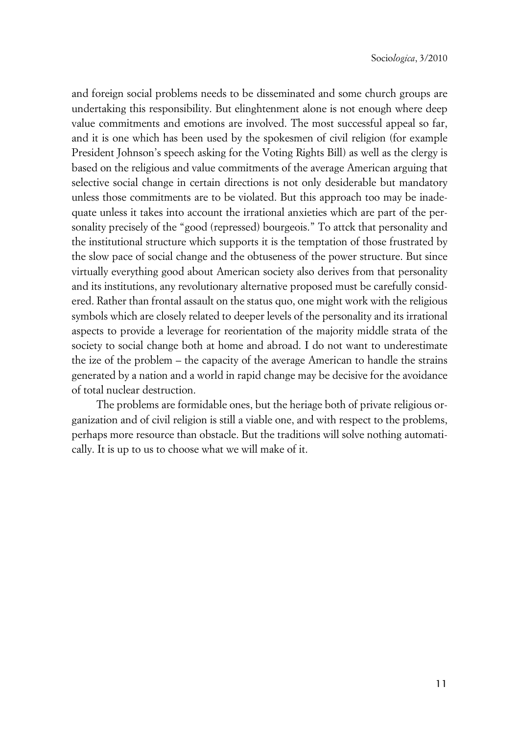and foreign social problems needs to be disseminated and some church groups are undertaking this responsibility. But elinghtenment alone is not enough where deep value commitments and emotions are involved. The most successful appeal so far, and it is one which has been used by the spokesmen of civil religion (for example President Johnson's speech asking for the Voting Rights Bill) as well as the clergy is based on the religious and value commitments of the average American arguing that selective social change in certain directions is not only desiderable but mandatory unless those commitments are to be violated. But this approach too may be inadequate unless it takes into account the irrational anxieties which are part of the personality precisely of the "good (repressed) bourgeois." To attck that personality and the institutional structure which supports it is the temptation of those frustrated by the slow pace of social change and the obtuseness of the power structure. But since virtually everything good about American society also derives from that personality and its institutions, any revolutionary alternative proposed must be carefully considered. Rather than frontal assault on the status quo, one might work with the religious symbols which are closely related to deeper levels of the personality and its irrational aspects to provide a leverage for reorientation of the majority middle strata of the society to social change both at home and abroad. I do not want to underestimate the ize of the problem – the capacity of the average American to handle the strains generated by a nation and a world in rapid change may be decisive for the avoidance of total nuclear destruction.

The problems are formidable ones, but the heriage both of private religious organization and of civil religion is still a viable one, and with respect to the problems, perhaps more resource than obstacle. But the traditions will solve nothing automatically. It is up to us to choose what we will make of it.